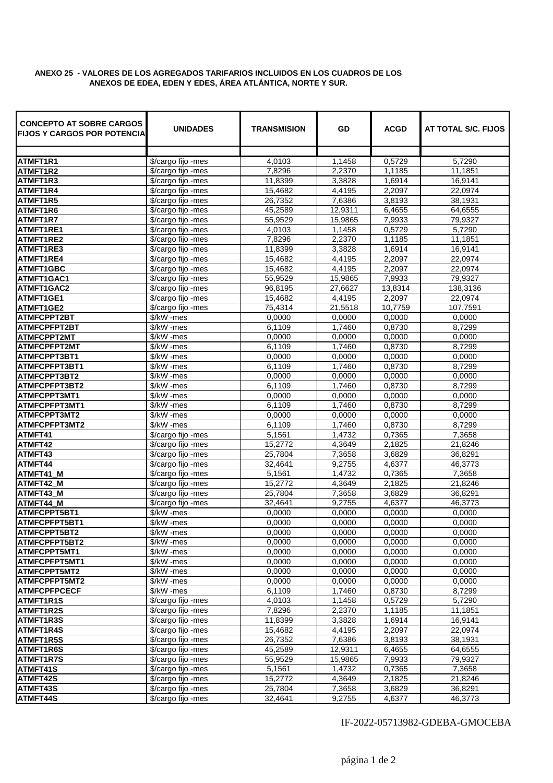## **ANEXO 25 - VALORES DE LOS AGREGADOS TARIFARIOS INCLUIDOS EN LOS CUADROS DE LOS ANEXOS DE EDEA, EDEN Y EDES, ÁREA ATLÁNTICA, NORTE Y SUR.**

| <b>CONCEPTO AT SOBRE CARGOS</b><br><b>FIJOS Y CARGOS POR POTENCIAL</b> | <b>UNIDADES</b>          | TRANSMISION      | GD               | <b>ACGD</b>      | AT TOTAL S/C. FIJOS |
|------------------------------------------------------------------------|--------------------------|------------------|------------------|------------------|---------------------|
| ATMFT1R1                                                               | \$/cargo fijo -mes       | 4,0103           | 1,1458           | 0,5729           | 5,7290              |
| ATMFT1R2                                                               | \$/cargo fijo -mes       | 7,8296           | 2,2370           | 1,1185           | 11.1851             |
| ATMFT1R3                                                               | \$/cargo fijo -mes       | 11,8399          | 3,3828           | 1,6914           | 16,9141             |
| ATMFT1R4                                                               | \$/cargo fijo -mes       | 15,4682          | 4,4195           | 2,2097           | 22,0974             |
| ATMFT1R5                                                               | \$/cargo fijo -mes       | 26,7352          | 7,6386           | 3,8193           | 38,1931             |
| ATMFT1R6                                                               | \$/cargo fijo -mes       | 45,2589          | 12,9311          | 6,4655           | 64,6555             |
| ATMFT1R7                                                               | \$/cargo fijo -mes       | 55,9529          | 15,9865          | 7,9933           | 79,9327             |
| ATMFT1RE1                                                              | \$/cargo fiio -mes       | 4,0103           | 1,1458           | 0,5729           | 5,7290              |
| <b>ATMFT1RE2</b>                                                       | \$/cargo fijo -mes       | 7,8296           | 2,2370           | 1,1185           | 11,1851             |
| ATMFT1RE3                                                              | \$/cargo fijo -mes       | 11,8399          | 3,3828           | 1,6914           | 16,9141             |
| ATMFT1RE4                                                              | \$/cargo fijo -mes       | 15,4682          | 4,4195           | 2,2097           | 22,0974             |
| <b>ATMFT1GBC</b>                                                       | \$/cargo fijo -mes       | 15,4682          | 4,4195           | 2,2097           | 22,0974             |
| ATMFT1GAC1                                                             | \$/cargo fijo -mes       | 55,9529          | 15,9865          | 7,9933           | 79,9327             |
| ATMFT1GAC2                                                             | \$/cargo fijo -mes       | 96,8195          | 27,6627          | 13,8314          | 138,3136            |
| ATMFT1GE1                                                              | \$/cargo fijo -mes       | 15,4682          | 4,4195           | 2,2097           | 22,0974             |
| ATMFT1GE2                                                              | \$/cargo fijo -mes       | 75,4314          | 21,5518          | 10,7759          | 107,7591            |
| <b>ATMFCPPT2BT</b>                                                     | \$/kW -mes               | 0,0000           | 0,0000           | 0,0000           | 0,0000              |
| <b>ATMFCPFPT2BT</b>                                                    | \$/kW -mes               | 6,1109           | 1,7460           | 0,8730           | 8,7299              |
| ATMFCPPT2MT                                                            | \$/kW -mes               | 0,0000           | 0,0000           | 0,0000           | 0,0000              |
| <b>ATMFCPFPT2MT</b>                                                    | \$/kW -mes               | 6,1109           | 1,7460           | 0,8730           | 8,7299              |
| ATMFCPPT3BT1                                                           | \$/kW -mes               | 0,0000           | 0,0000           | 0,0000           | 0,0000              |
| ATMFCPFPT3BT1                                                          | \$/kW -mes               | 6,1109           | 1,7460           | 0,8730           | 8,7299              |
| ATMFCPPT3BT2                                                           | \$/kW -mes               | 0,0000           | 0,0000           | 0,0000           | 0,0000              |
| ATMFCPFPT3BT2                                                          | \$/kW -mes               | 6,1109           | 1,7460           | 0,8730           | 8,7299              |
| ATMFCPPT3MT1                                                           | \$/kW -mes               | 0,0000           | 0,0000           | 0,0000           | 0,0000              |
| ATMFCPFPT3MT1                                                          | \$/kW -mes               | 6,1109           | 1,7460           | 0,8730           | 8,7299              |
| ATMFCPPT3MT2                                                           | \$/kW -mes               | 0,0000           | 0,0000           | 0,0000           | 0,0000              |
| ATMFCPFPT3MT2                                                          | \$/kW -mes               | 6,1109           | 1,7460           | 0,8730           | 8,7299              |
| ATMFT41                                                                | \$/cargo fijo -mes       | 5,1561           | 1,4732           | 0,7365           | 7,3658              |
| ATMFT42                                                                | \$/cargo fijo -mes       | 15,2772          | 4,3649           | 2,1825           | 21,8246             |
| ATMFT43                                                                | \$/cargo fijo -mes       | 25,7804          | 7,3658           | 3,6829           | 36,8291             |
| ATMFT44                                                                | \$/cargo fijo -mes       | 32,4641          | 9,2755           | 4,6377           | 46,3773             |
| ATMFT41 M                                                              | \$/cargo fijo -mes       | 5,1561           | 1,4732           | 0,7365           | 7,3658              |
| ATMFT42 M                                                              | \$/cargo fijo -mes       | 15,2772          | 4,3649           | 2.1825           | 21.8246             |
| ATMFT43_M                                                              | \$/cargo fijo -mes       | 25,7804          | 7,3658           | 3,6829           | 36.8291             |
| ATMFT44 M                                                              | \$/cargo fijo -mes       | 32,4641          | 9,2755           | 4.6377           | 46,3773             |
| ATMFCPPT5BT1<br>ATMFCPFPT5BT1                                          | \$/kW -mes<br>\$/kW -mes | 0,0000<br>0,0000 | 0,0000           | 0.0000<br>0.0000 | 0,0000<br>0,0000    |
| <b>ATMFCPPT5BT2</b>                                                    |                          |                  | 0,0000           |                  | 0,0000              |
| ATMFCPFPT5BT2                                                          | \$/kW -mes<br>\$/kW -mes | 0,0000<br>0,0000 | 0,0000<br>0,0000 | 0,0000<br>0,0000 | 0,0000              |
| ATMFCPPT5MT1                                                           | \$/kW -mes               | 0.0000           | 0,0000           | 0,0000           | 0,0000              |
| ATMFCPFPT5MT1                                                          | \$/kW -mes               | 0.0000           | 0,0000           | 0,0000           | 0,0000              |
| ATMFCPPT5MT2                                                           | \$/kW -mes               | 0,0000           | 0,0000           | 0.0000           | 0,0000              |
| ATMFCPFPT5MT2                                                          | $\sqrt{$K}W$ -mes        | 0,0000           | 0,0000           | 0.0000           | 0,0000              |
| <b>ATMFCPFPCECF</b>                                                    | \$/kW -mes               | 6,1109           | 1,7460           | 0,8730           | 8.7299              |
| ATMFT1R1S                                                              | \$/cargo fijo -mes       | 4,0103           | 1,1458           | 0,5729           | 5,7290              |
| ATMFT1R2S                                                              | \$/cargo fijo -mes       | 7,8296           | 2,2370           | 1,1185           | 11,1851             |
| ATMFT1R3S                                                              | \$/cargo fijo -mes       | 11,8399          | 3,3828           | 1,6914           | 16,9141             |
| ATMFT1R4S                                                              | \$/cargo fijo -mes       | 15,4682          | 4,4195           | 2,2097           | 22,0974             |
| ATMFT1R5S                                                              | \$/cargo fijo -mes       | 26,7352          | 7,6386           | 3,8193           | 38,1931             |
| ATMFT1R6S                                                              | \$/cargo fijo -mes       | 45,2589          | 12,9311          | 6,4655           | 64,6555             |
| ATMFT1R7S                                                              | \$/cargo fijo -mes       | 55,9529          | 15,9865          | 7,9933           | 79,9327             |
| ATMFT41S                                                               | \$/cargo fijo -mes       | 5,1561           | 1,4732           | 0,7365           | 7,3658              |
| ATMFT42S                                                               | \$/cargo fijo -mes       | 15,2772          | 4,3649           | 2,1825           | 21,8246             |
| ATMFT43S                                                               | \$/cargo fijo -mes       | 25,7804          | 7,3658           | 3,6829           | 36,8291             |
| ATMFT44S                                                               | \$/cargo fijo -mes       | 32,4641          | 9,2755           | 4,6377           | 46,3773             |

IF-2022-05713982-GDEBA-GMOCEBA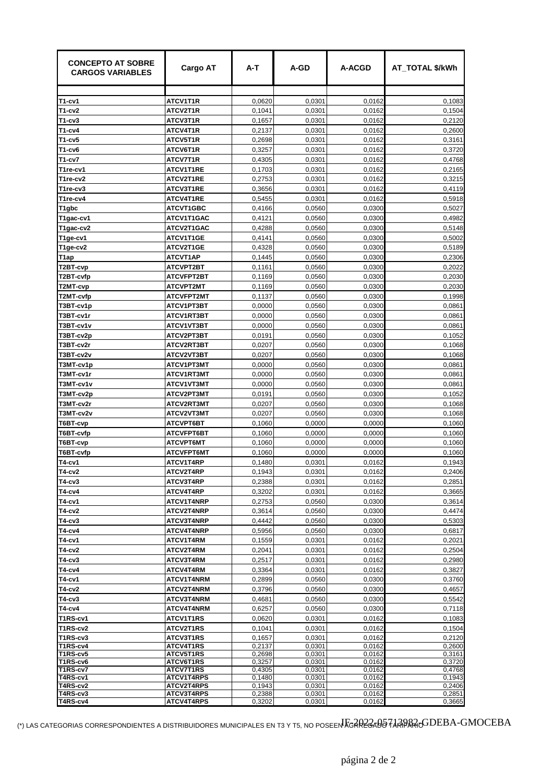| <b>CONCEPTO AT SOBRE</b><br><b>CARGOS VARIABLES</b> | <b>Cargo AT</b>                 | A-T              | A-GD             | <b>A-ACGD</b>    | AT TOTAL \$/kWh  |
|-----------------------------------------------------|---------------------------------|------------------|------------------|------------------|------------------|
| T1-cv1                                              | ATCV1T1R                        | 0,0620           | 0,0301           | 0,0162           | 0,1083           |
| T1-cv2                                              | ATCV2T1R                        | 0,1041           | 0,0301           | 0.0162           | 0,1504           |
| T1-cv3                                              | ATCV3T1R                        | 0,1657           | 0,0301           | 0,0162           | 0,2120           |
| T1-cv4                                              | ATCV4T1R                        | 0,2137           | 0,0301           | 0,0162           | 0,2600           |
| T1-cv5                                              | ATCV5T1R                        | 0,2698           | 0,0301           | 0,0162           | 0,3161           |
| T1-cv6                                              | ATCV6T1R                        | 0,3257           | 0,0301           | 0,0162           | 0.3720           |
| T1-cv7                                              | ATCV7T1R                        | 0,4305           | 0,0301           | 0,0162           | 0,4768           |
| T1re-cv1                                            | ATCV1T1RE                       | 0,1703           | 0,0301           | 0,0162           | 0,2165           |
| T1re-cv2                                            | ATCV2T1RE                       | 0,2753           | 0,0301           | 0,0162           | 0,3215           |
| T1re-cv3                                            | ATCV3T1RE                       | 0,3656           | 0,0301           | 0,0162           | 0,4119           |
| T1re-cv4                                            | ATCV4T1RE                       | 0,5455           | 0,0301           | 0,0162           | 0,5918           |
| T1gbc                                               | <b>ATCVT1GBC</b>                | 0,4166           | 0,0560           | 0,0300           | 0,5027           |
| T1gac-cv1                                           | ATCV1T1GAC                      | 0,4121           | 0,0560           | 0,0300           | 0,4982           |
| T1gac-cv2                                           | ATCV2T1GAC                      | 0,4288           | 0,0560           | 0,0300           | 0,5148           |
| T1ge-cv1                                            | ATCV1T1GE                       | 0,4141           | 0,0560           | 0,0300           | 0,5002           |
| T1ge-cv2                                            | ATCV2T1GE                       | 0,4328           | 0.0560           | 0,0300           | 0,5189           |
| T1ap                                                | <b>ATCVT1AP</b>                 | 0,1445           | 0,0560           | 0,0300           | 0,2306           |
| T2BT-cvp                                            | <b>ATCVPT2BT</b>                | 0,1161           | 0,0560           | 0,0300           | 0.2022           |
| T2BT-cvfp                                           | <b>ATCVFPT2BT</b>               | 0,1169           | 0,0560           | 0,0300           | 0,2030           |
| T2MT-cvp                                            | <b>ATCVPT2MT</b>                | 0.1169           | 0,0560           | 0,0300           | 0,2030           |
| T2MT-cvfp<br>T3BT-cv1p                              | <b>ATCVFPT2MT</b><br>ATCV1PT3BT | 0,1137<br>0,0000 | 0,0560<br>0,0560 | 0,0300<br>0,0300 | 0,1998<br>0,0861 |
| T3BT-cv1r                                           | ATCV1RT3BT                      | 0,0000           | 0.0560           | 0.0300           | 0,0861           |
| T3BT-cv1v                                           | ATCV1VT3BT                      | 0,0000           | 0,0560           | 0,0300           | 0,0861           |
| T3BT-cv2p                                           | ATCV2PT3BT                      | 0,0191           | 0,0560           | 0,0300           | 0,1052           |
| T3BT-cv2r                                           | ATCV2RT3BT                      | 0,0207           | 0,0560           | 0,0300           | 0,1068           |
| T3BT-cv2v                                           | ATCV2VT3BT                      | 0,0207           | 0,0560           | 0,0300           | 0,1068           |
| T3MT-cv1p                                           | ATCV1PT3MT                      | 0,0000           | 0,0560           | 0,0300           | 0,0861           |
| T3MT-cv1r                                           | ATCV1RT3MT                      | 0,0000           | 0,0560           | 0,0300           | 0,0861           |
| T3MT-cv1v                                           | ATCV1VT3MT                      | 0,0000           | 0,0560           | 0,0300           | 0,0861           |
| T3MT-cv2p                                           | ATCV2PT3MT                      | 0,0191           | 0,0560           | 0,0300           | 0,1052           |
| T3MT-cv2r                                           | ATCV2RT3MT                      | 0,0207           | 0,0560           | 0,0300           | 0,1068           |
| T3MT-cv2v                                           | ATCV2VT3MT                      | 0,0207           | 0,0560           | 0,0300           | 0,1068           |
| T6BT-cvp                                            | ATCVPT6BT                       | 0,1060           | 0,0000           | 0.0000           | 0,1060           |
| T6BT-cvfp                                           | ATCVFPT6BT                      | 0,1060           | 0,0000           | 0,0000           | 0,1060           |
| T6BT-cvp                                            | <b>ATCVPT6MT</b>                | 0,1060           | 0,0000           | 0,0000           | 0,1060           |
| T6BT-cvfp<br>T4-cv1                                 | <b>ATCVFPT6MT</b><br>ATCV1T4RP  | 0,1060           | 0,0000           | 0,0000           | 0,1060<br>0,1943 |
| T4-cv2                                              | ATCV2T4RP                       | 0,1480<br>0,1943 | 0,0301<br>0,0301 | 0,0162<br>0,0162 | 0,2406           |
| T4-cv3                                              | ATCV3T4RP                       | 0,2388           | 0.0301           | 0,0162           | 0,2851           |
| T4-cv4                                              | ATCV4T4RP                       | 0,3202           | 0,0301           | 0,0162           | 0,3665           |
| T4-cv1                                              | ATCV1T4NRP                      | 0,2753           | 0,0560           | 0,0300           | 0,3614           |
| T4-cv2                                              | ATCV2T4NRP                      | 0,3614           | 0,0560           | 0,0300           | 0,4474           |
| T4-cv3                                              | ATCV3T4NRP                      | 0,4442           | 0,0560           | 0,0300           | 0,5303           |
| T4-cv4                                              | ATCV4T4NRP                      | 0,5956           | 0,0560           | 0,0300           | 0,6817           |
| T4-cv1                                              | ATCV1T4RM                       | 0,1559           | 0,0301           | 0,0162           | 0,2021           |
| T4-cv2                                              | ATCV2T4RM                       | 0,2041           | 0,0301           | 0,0162           | 0,2504           |
| T4-cv3                                              | ATCV3T4RM                       | 0,2517           | 0,0301           | 0,0162           | 0,2980           |
| T4-cv4                                              | ATCV4T4RM                       | 0,3364           | 0,0301           | 0,0162           | 0,3827           |
| T4-cv1                                              | ATCV1T4NRM                      | 0,2899           | 0,0560           | 0,0300           | 0,3760           |
| T4-cv2                                              | <b>ATCV2T4NRM</b>               | 0,3796           | 0,0560           | 0,0300           | 0,4657           |
| T4-cv3                                              | <b>ATCV3T4NRM</b>               | 0,4681           | 0,0560           | 0,0300           | 0,5542           |
| T4-cv4<br>T1RS-cv1                                  | ATCV4T4NRM<br><b>ATCV1T1RS</b>  | 0,6257<br>0,0620 | 0,0560<br>0,0301 | 0,0300<br>0,0162 | 0,7118<br>0,1083 |
| T1RS-cv2                                            | ATCV2T1RS                       | 0,1041           | 0,0301           | 0,0162           | 0,1504           |
| T1RS-cv3                                            | <b>ATCV3T1RS</b>                | 0,1657           | 0,0301           | 0,0162           | 0,2120           |
| T1RS-cv4                                            | ATCV4T1RS                       | 0,2137           | 0,0301           | 0,0162           | 0,2600           |
| T1RS-cv5                                            | <b>ATCV5T1RS</b>                | 0,2698           | 0,0301           | 0,0162           | 0,3161           |
| T1RS-cv6<br>T1RS-cv7                                | ATCV6T1RS<br><b>ATCV7T1RS</b>   | 0,3257<br>0,4305 | 0,0301<br>0,0301 | 0,0162<br>0,0162 | 0,3720<br>0,4768 |
| T4RS-cv1                                            | <b>ATCV1T4RPS</b>               | 0,1480           | 0,0301           | 0,0162           | 0,1943           |
| T4RS-cv2                                            | ATCV2T4RPS                      | 0,1943           | 0,0301           | 0,0162           | 0,2406           |
| T4RS-cv3                                            | <b>ATCV3T4RPS</b>               | 0,2388           | 0,0301           | 0,0162           | 0,2851           |
| T4RS-cv4                                            | <b>ATCV4T4RPS</b>               | 0,3202           | 0,0301           | 0,0162           | 0,3665           |

(\*) LAS CATEGORIAS CORRESPONDIENTES A DISTRIBUIDORES MUNICIPALES EN T3 Y T5, NO POSEEN $\rm K$ g $\hat{\rm R}$ R $\hat{\rm R}$ a $\hat{\rm R}$ a $\hat{\rm H}$ a $\hat{\rm AR}$ n $\rm GDEBA$ – $\rm GMOCEBA$